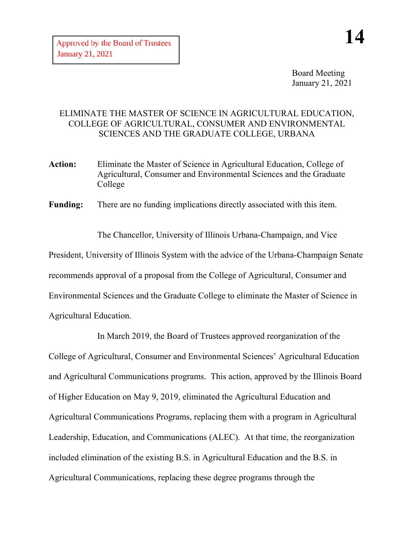Board Meeting January 21, 2021

## ELIMINATE THE MASTER OF SCIENCE IN AGRICULTURAL EDUCATION, COLLEGE OF AGRICULTURAL, CONSUMER AND ENVIRONMENTAL SCIENCES AND THE GRADUATE COLLEGE, URBANA

**Action:** Eliminate the Master of Science in Agricultural Education, College of Agricultural, Consumer and Environmental Sciences and the Graduate College

**Funding:** There are no funding implications directly associated with this item.

The Chancellor, University of Illinois Urbana-Champaign, and Vice President, University of Illinois System with the advice of the Urbana-Champaign Senate recommends approval of a proposal from the College of Agricultural, Consumer and Environmental Sciences and the Graduate College to eliminate the Master of Science in Agricultural Education.

In March 2019, the Board of Trustees approved reorganization of the College of Agricultural, Consumer and Environmental Sciences' Agricultural Education and Agricultural Communications programs. This action, approved by the Illinois Board of Higher Education on May 9, 2019, eliminated the Agricultural Education and Agricultural Communications Programs, replacing them with a program in Agricultural Leadership, Education, and Communications (ALEC). At that time, the reorganization included elimination of the existing B.S. in Agricultural Education and the B.S. in Agricultural Communications, replacing these degree programs through the